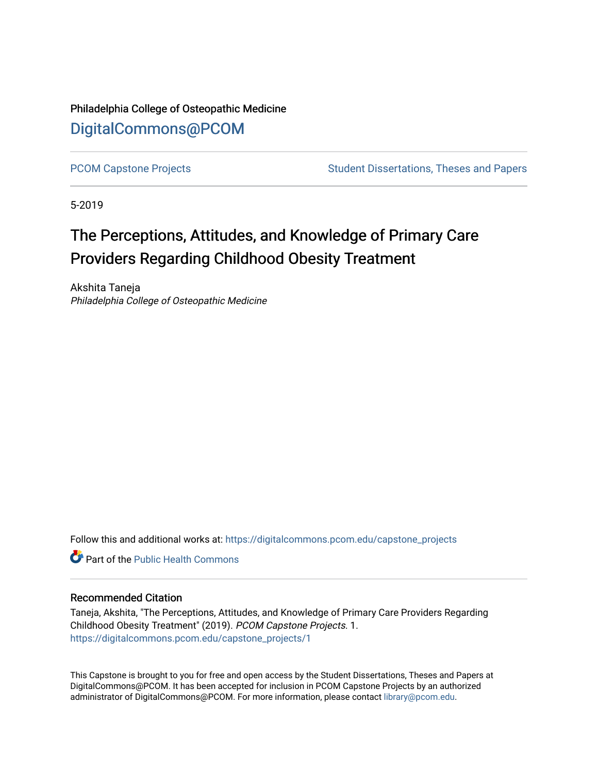Philadelphia College of Osteopathic Medicine [DigitalCommons@PCOM](https://digitalcommons.pcom.edu/) 

[PCOM Capstone Projects](https://digitalcommons.pcom.edu/capstone_projects) **Student Dissertations, Theses and Papers** Student Dissertations, Theses and Papers

5-2019

# The Perceptions, Attitudes, and Knowledge of Primary Care Providers Regarding Childhood Obesity Treatment

Akshita Taneja Philadelphia College of Osteopathic Medicine

Follow this and additional works at: [https://digitalcommons.pcom.edu/capstone\\_projects](https://digitalcommons.pcom.edu/capstone_projects?utm_source=digitalcommons.pcom.edu%2Fcapstone_projects%2F1&utm_medium=PDF&utm_campaign=PDFCoverPages)

**C** Part of the Public Health Commons

## Recommended Citation

Taneja, Akshita, "The Perceptions, Attitudes, and Knowledge of Primary Care Providers Regarding Childhood Obesity Treatment" (2019). PCOM Capstone Projects. 1. [https://digitalcommons.pcom.edu/capstone\\_projects/1](https://digitalcommons.pcom.edu/capstone_projects/1?utm_source=digitalcommons.pcom.edu%2Fcapstone_projects%2F1&utm_medium=PDF&utm_campaign=PDFCoverPages) 

This Capstone is brought to you for free and open access by the Student Dissertations, Theses and Papers at DigitalCommons@PCOM. It has been accepted for inclusion in PCOM Capstone Projects by an authorized administrator of DigitalCommons@PCOM. For more information, please contact [library@pcom.edu.](mailto:library@pcom.edu)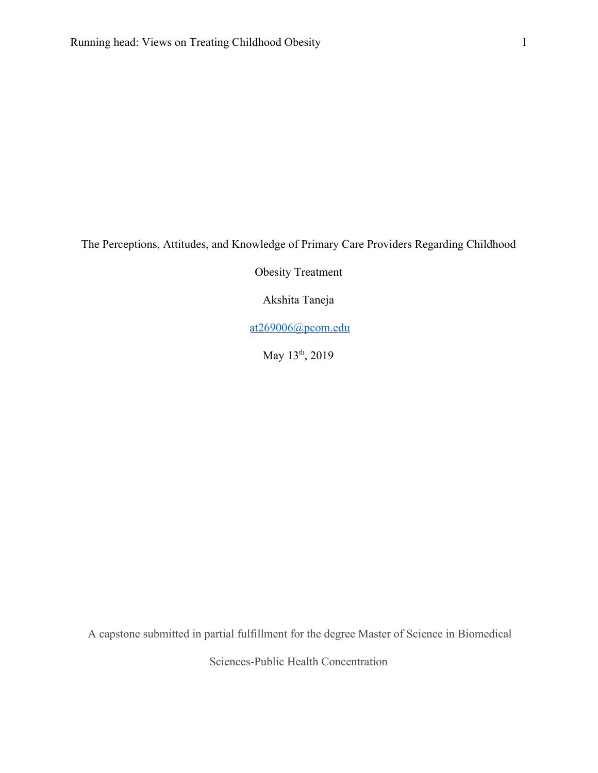The Perceptions, Attitudes, and Knowledge of Primary Care Providers Regarding Childhood

Obesity Treatment

Akshita Taneja

[at269006@pcom.edu](mailto:at269006@pcom.edu)

May 13<sup>th</sup>, 2019

A capstone submitted in partial fulfillment for the degree Master of Science in Biomedical

Sciences-Public Health Concentration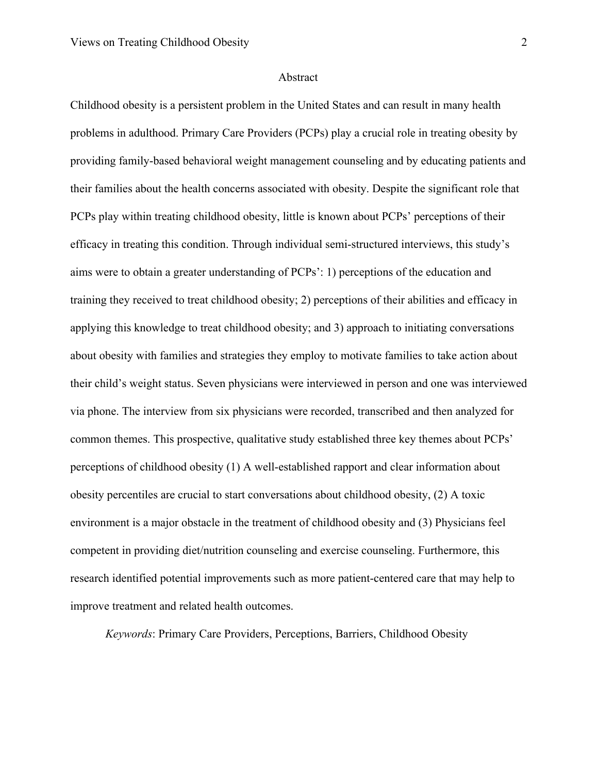#### Abstract

Childhood obesity is a persistent problem in the United States and can result in many health problems in adulthood. Primary Care Providers (PCPs) play a crucial role in treating obesity by providing family-based behavioral weight management counseling and by educating patients and their families about the health concerns associated with obesity. Despite the significant role that PCPs play within treating childhood obesity, little is known about PCPs' perceptions of their efficacy in treating this condition. Through individual semi-structured interviews, this study's aims were to obtain a greater understanding of PCPs': 1) perceptions of the education and training they received to treat childhood obesity; 2) perceptions of their abilities and efficacy in applying this knowledge to treat childhood obesity; and 3) approach to initiating conversations about obesity with families and strategies they employ to motivate families to take action about their child's weight status. Seven physicians were interviewed in person and one was interviewed via phone. The interview from six physicians were recorded, transcribed and then analyzed for common themes. This prospective, qualitative study established three key themes about PCPs' perceptions of childhood obesity (1) A well-established rapport and clear information about obesity percentiles are crucial to start conversations about childhood obesity, (2) A toxic environment is a major obstacle in the treatment of childhood obesity and (3) Physicians feel competent in providing diet/nutrition counseling and exercise counseling. Furthermore, this research identified potential improvements such as more patient-centered care that may help to improve treatment and related health outcomes.

*Keywords*: Primary Care Providers, Perceptions, Barriers, Childhood Obesity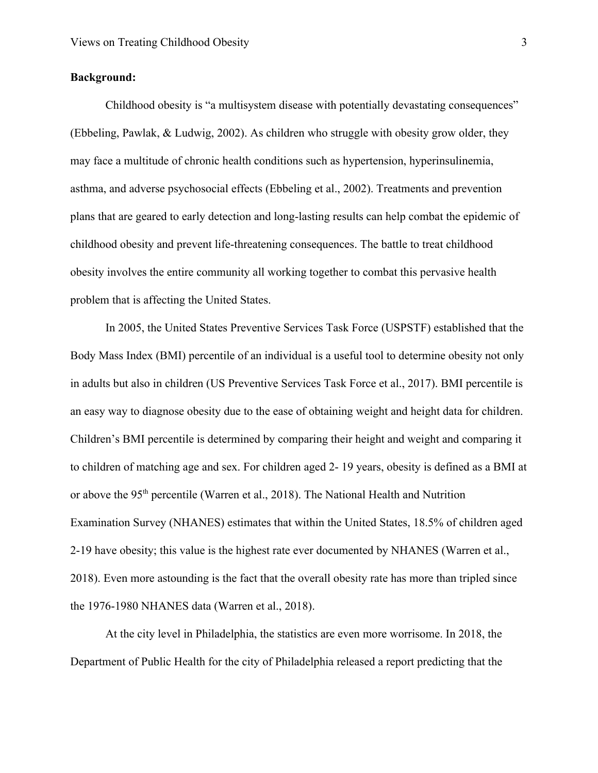## **Background:**

Childhood obesity is "a multisystem disease with potentially devastating consequences" [\(Ebbeling, Pawlak, & Ludwig, 2002\)](http://f1000.com/work/citation?ids=1396202&pre=&suf=&sa=0). As children who struggle with obesity grow older, they may face a multitude of chronic health conditions such as hypertension, hyperinsulinemia, asthma, and adverse psychosocial effects [\(Ebbeling et al., 2002\).](http://f1000.com/work/citation?ids=1396202&pre=&suf=&sa=0) Treatments and prevention plans that are geared to early detection and long-lasting results can help combat the epidemic of childhood obesity and prevent life-threatening consequences. The battle to treat childhood obesity involves the entire community all working together to combat this pervasive health problem that is affecting the United States.

In 2005, the United States Preventive Services Task Force (USPSTF) established that the Body Mass Index (BMI) percentile of an individual is a useful tool to determine obesity not only in adults but also in children [\(US Preventive Services Task Force et al., 2017\).](http://f1000.com/work/citation?ids=4072558&pre=&suf=&sa=0) BMI percentile is an easy way to diagnose obesity due to the ease of obtaining weight and height data for children. Children's BMI percentile is determined by comparing their height and weight and comparing it to children of matching age and sex. For children aged 2- 19 years, obesity is defined as a BMI at or above the 95<sup>th</sup> percentile [\(Warren et al., 2018\)](http://f1000.com/work/citation?ids=6202405&pre=&suf=&sa=0). The National Health and Nutrition Examination Survey (NHANES) estimates that within the United States, 18.5% of children aged 2-19 have obesity; this value is the highest rate ever documented by NHANES [\(Warren et al.,](http://f1000.com/work/citation?ids=6202405&pre=&suf=&sa=0) [2018\).](http://f1000.com/work/citation?ids=6202405&pre=&suf=&sa=0) Even more astounding is the fact that the overall obesity rate has more than tripled since the 1976-1980 NHANES data [\(Warren et al., 2018\).](http://f1000.com/work/citation?ids=6202405&pre=&suf=&sa=0)

At the city level in Philadelphia, the statistics are even more worrisome. In 2018, the Department of Public Health for the city of Philadelphia released a report predicting that the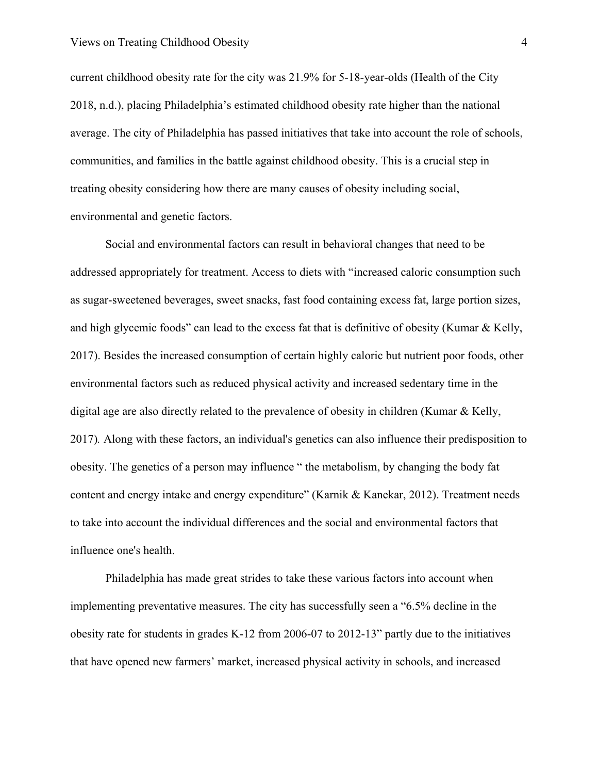current childhood obesity rate for the city was 21.9% for 5-18-year-olds [\(Health of the City](http://f1000.com/work/citation?ids=6212240&pre=&suf=&sa=0) [2018, n.d.\),](http://f1000.com/work/citation?ids=6212240&pre=&suf=&sa=0) placing Philadelphia's estimated childhood obesity rate higher than the national average. The city of Philadelphia has passed initiatives that take into account the role of schools, communities, and families in the battle against childhood obesity. This is a crucial step in treating obesity considering how there are many causes of obesity including social, environmental and genetic factors.

Social and environmental factors can result in behavioral changes that need to be addressed appropriately for treatment. Access to diets with "increased caloric consumption such as sugar-sweetened beverages, sweet snacks, fast food containing excess fat, large portion sizes, and high glycemic foods" can lead to the excess fat that is definitive of obesity [\(Kumar & Kelly,](http://f1000.com/work/citation?ids=3192730&pre=&suf=&sa=0) [2017\).](http://f1000.com/work/citation?ids=3192730&pre=&suf=&sa=0) Besides the increased consumption of certain highly caloric but nutrient poor foods, other environmental factors such as reduced physical activity and increased sedentary time in the digital age are also directly related to the prevalence of obesity in children [\(Kumar & Kelly,](http://f1000.com/work/citation?ids=3192730&pre=&suf=&sa=0) [2017\)](http://f1000.com/work/citation?ids=3192730&pre=&suf=&sa=0)*.* Along with these factors, an individual's genetics can also influence their predisposition to obesity. The genetics of a person may influence " the metabolism, by changing the body fat content and energy intake and energy expenditure" [\(Karnik & Kanekar, 2012\).](http://f1000.com/work/citation?ids=5724919&pre=&suf=&sa=0) Treatment needs to take into account the individual differences and the social and environmental factors that influence one's health.

Philadelphia has made great strides to take these various factors into account when implementing preventative measures. The city has successfully seen a "6.5% decline in the obesity rate for students in grades K-12 from 2006-07 to 2012-13" partly due to the initiatives that have opened new farmers' market, increased physical activity in schools, and increased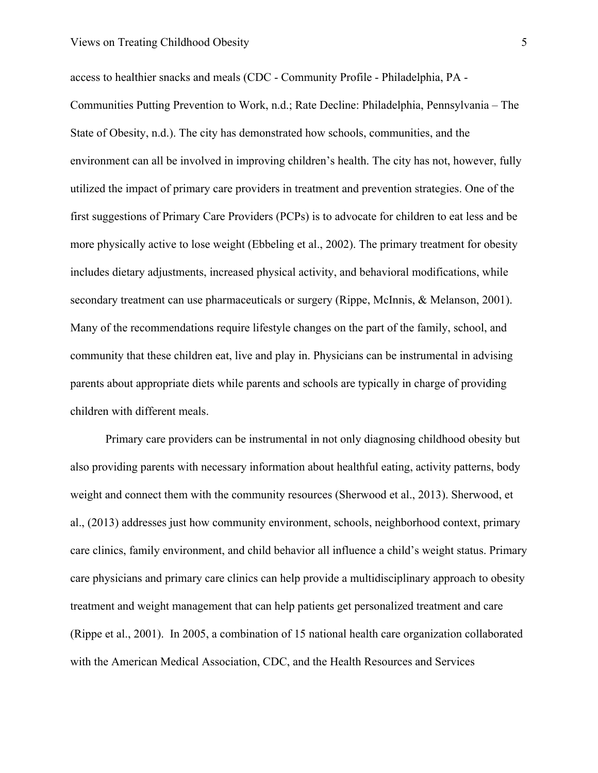access to healthier snacks and meals [\(CDC - Community Profile - Philadelphia, PA -](http://f1000.com/work/citation?ids=6229065,6228925&pre=&pre=&suf=&suf=&sa=0,0) [Communities Putting Prevention to Work, n.d.; Rate Decline: Philadelphia, Pennsylvania – The](http://f1000.com/work/citation?ids=6229065,6228925&pre=&pre=&suf=&suf=&sa=0,0) [State of Obesity, n.d.\)](http://f1000.com/work/citation?ids=6229065,6228925&pre=&pre=&suf=&suf=&sa=0,0). The city has demonstrated how schools, communities, and the environment can all be involved in improving children's health. The city has not, however, fully utilized the impact of primary care providers in treatment and prevention strategies. One of the first suggestions of Primary Care Providers (PCPs) is to advocate for children to eat less and be more physically active to lose weight [\(Ebbeling et al., 2002\).](http://f1000.com/work/citation?ids=1396202&pre=&suf=&sa=0) The primary treatment for obesity includes dietary adjustments, increased physical activity, and behavioral modifications, while secondary treatment can use pharmaceuticals or surgery [\(Rippe, McInnis, & Melanson, 2001\).](http://f1000.com/work/citation?ids=6228896&pre=&suf=&sa=0) Many of the recommendations require lifestyle changes on the part of the family, school, and community that these children eat, live and play in. Physicians can be instrumental in advising parents about appropriate diets while parents and schools are typically in charge of providing children with different meals.

Primary care providers can be instrumental in not only diagnosing childhood obesity but also providing parents with necessary information about healthful eating, activity patterns, body weight and connect them with the community resources [\(Sherwood et al., 2013\)](http://f1000.com/work/citation?ids=6228898&pre=&suf=&sa=0). Sherwood, et al., (2013) addresses just how community environment, schools, neighborhood context, primary care clinics, family environment, and child behavior all influence a child's weight status. Primary care physicians and primary care clinics can help provide a multidisciplinary approach to obesity treatment and weight management that can help patients get personalized treatment and care [\(Rippe et al., 2001\).](http://f1000.com/work/citation?ids=6228896&pre=&suf=&sa=0) In 2005, a combination of 15 national health care organization collaborated with the American Medical Association, CDC, and the Health Resources and Services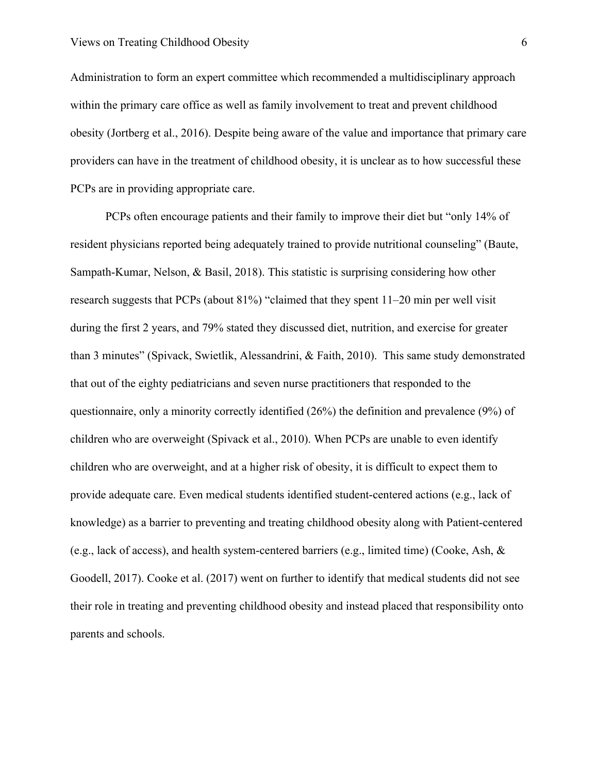Administration to form an expert committee which recommended a multidisciplinary approach within the primary care office as well as family involvement to treat and prevent childhood obesity [\(Jortberg et al., 2016\)](http://f1000.com/work/citation?ids=6229148&pre=&suf=&sa=0). Despite being aware of the value and importance that primary care providers can have in the treatment of childhood obesity, it is unclear as to how successful these PCPs are in providing appropriate care.

PCPs often encourage patients and their family to improve their diet but "only 14% of resident physicians reported being adequately trained to provide nutritional counseling" [\(Baute,](http://f1000.com/work/citation?ids=6229154&pre=&suf=&sa=0) [Sampath-Kumar, Nelson, & Basil, 2018\)](http://f1000.com/work/citation?ids=6229154&pre=&suf=&sa=0). This statistic is surprising considering how other research suggests that PCPs (about 81%) "claimed that they spent 11–20 min per well visit during the first 2 years, and 79% stated they discussed diet, nutrition, and exercise for greater than 3 minutes" [\(Spivack, Swietlik, Alessandrini, & Faith, 2010\)](http://f1000.com/work/citation?ids=2603415&pre=&suf=&sa=0). This same study demonstrated that out of the eighty pediatricians and seven nurse practitioners that responded to the questionnaire, only a minority correctly identified (26%) the definition and prevalence (9%) of children who are overweight [\(Spivack et al., 2010\).](http://f1000.com/work/citation?ids=2603415&pre=&suf=&sa=0) When PCPs are unable to even identify children who are overweight, and at a higher risk of obesity, it is difficult to expect them to provide adequate care. Even medical students identified student-centered actions (e.g., lack of knowledge) as a barrier to preventing and treating childhood obesity along with Patient-centered (e.g., lack of access), and health system-centered barriers (e.g., limited time) [\(Cooke, Ash, &](http://f1000.com/work/citation?ids=6236456&pre=&suf=&sa=0) [Goodell, 2017\).](http://f1000.com/work/citation?ids=6236456&pre=&suf=&sa=0) Cooke et al. (2017) went on further to identify that medical students did not see their role in treating and preventing childhood obesity and instead placed that responsibility onto parents and schools.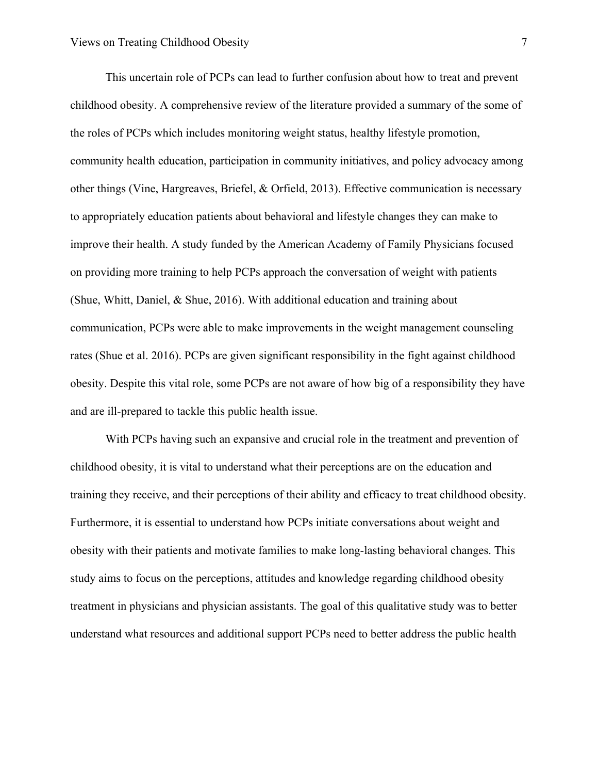This uncertain role of PCPs can lead to further confusion about how to treat and prevent childhood obesity. A comprehensive review of the literature provided a summary of the some of the roles of PCPs which includes monitoring weight status, healthy lifestyle promotion, community health education, participation in community initiatives, and policy advocacy among other things [\(Vine, Hargreaves, Briefel, & Orfield, 2013\)](http://f1000.com/work/citation?ids=6236465&pre=&suf=&sa=0). Effective communication is necessary to appropriately education patients about behavioral and lifestyle changes they can make to improve their health. A study funded by the American Academy of Family Physicians focused on providing more training to help PCPs approach the conversation of weight with patients [\(Shue, Whitt, Daniel, & Shue, 2016\).](http://f1000.com/work/citation?ids=6236471&pre=&suf=&sa=0) With additional education and training about communication, PCPs were able to make improvements in the weight management counseling rates [\(Shue et al. 2016\).](http://f1000.com/work/citation?ids=6236471&pre=&suf=&sa=0) PCPs are given significant responsibility in the fight against childhood obesity. Despite this vital role, some PCPs are not aware of how big of a responsibility they have and are ill-prepared to tackle this public health issue.

With PCPs having such an expansive and crucial role in the treatment and prevention of childhood obesity, it is vital to understand what their perceptions are on the education and training they receive, and their perceptions of their ability and efficacy to treat childhood obesity. Furthermore, it is essential to understand how PCPs initiate conversations about weight and obesity with their patients and motivate families to make long-lasting behavioral changes. This study aims to focus on the perceptions, attitudes and knowledge regarding childhood obesity treatment in physicians and physician assistants. The goal of this qualitative study was to better understand what resources and additional support PCPs need to better address the public health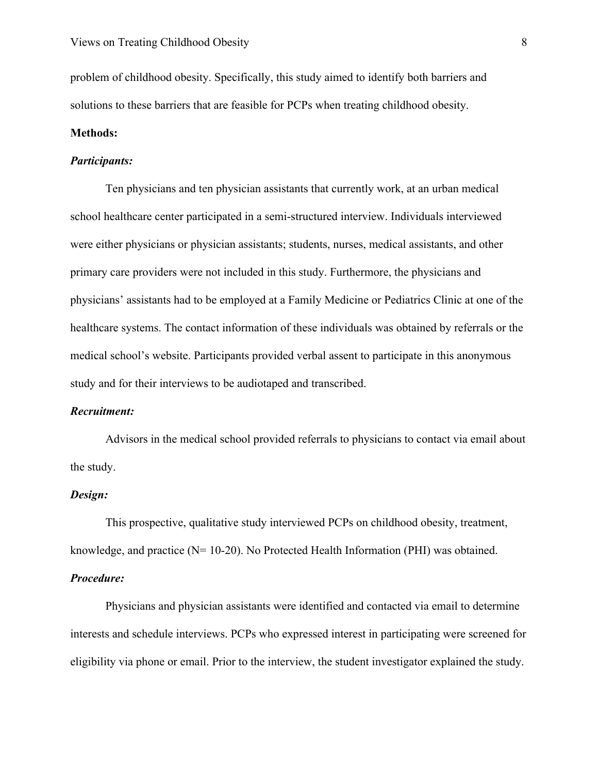problem of childhood obesity. Specifically, this study aimed to identify both barriers and solutions to these barriers that are feasible for PCPs when treating childhood obesity.

#### **Methods:**

## *Participants:*

Ten physicians and ten physician assistants that currently work, at an urban medical school healthcare center participated in a semi-structured interview. Individuals interviewed were either physicians or physician assistants; students, nurses, medical assistants, and other primary care providers were not included in this study. Furthermore, the physicians and physicians' assistants had to be employed at a Family Medicine or Pediatrics Clinic at one of the healthcare systems. The contact information of these individuals was obtained by referrals or the medical school's website. Participants provided verbal assent to participate in this anonymous study and for their interviews to be audiotaped and transcribed.

#### *Recruitment:*

Advisors in the medical school provided referrals to physicians to contact via email about the study.

## *Design:*

This prospective, qualitative study interviewed PCPs on childhood obesity, treatment, knowledge, and practice (N= 10-20). No Protected Health Information (PHI) was obtained.

#### *Procedure:*

Physicians and physician assistants were identified and contacted via email to determine interests and schedule interviews. PCPs who expressed interest in participating were screened for eligibility via phone or email. Prior to the interview, the student investigator explained the study.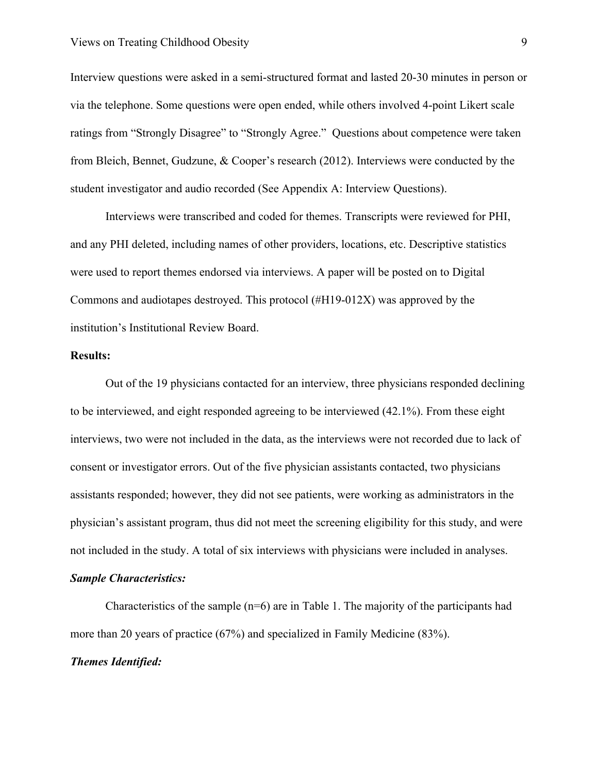Interview questions were asked in a semi-structured format and lasted 20-30 minutes in person or via the telephone. Some questions were open ended, while others involved 4-point Likert scale ratings from "Strongly Disagree" to "Strongly Agree." Questions about competence were taken from Bleich, Bennet, Gudzune, & Cooper's research (2012). Interviews were conducted by the student investigator and audio recorded (See Appendix A: Interview Questions).

Interviews were transcribed and coded for themes. Transcripts were reviewed for PHI, and any PHI deleted, including names of other providers, locations, etc. Descriptive statistics were used to report themes endorsed via interviews. A paper will be posted on to Digital Commons and audiotapes destroyed. This protocol (#H19-012X) was approved by the institution's Institutional Review Board.

#### **Results:**

Out of the 19 physicians contacted for an interview, three physicians responded declining to be interviewed, and eight responded agreeing to be interviewed (42.1%). From these eight interviews, two were not included in the data, as the interviews were not recorded due to lack of consent or investigator errors. Out of the five physician assistants contacted, two physicians assistants responded; however, they did not see patients, were working as administrators in the physician's assistant program, thus did not meet the screening eligibility for this study, and were not included in the study. A total of six interviews with physicians were included in analyses.

## *Sample Characteristics:*

Characteristics of the sample  $(n=6)$  are in Table 1. The majority of the participants had more than 20 years of practice (67%) and specialized in Family Medicine (83%).

## *Themes Identified:*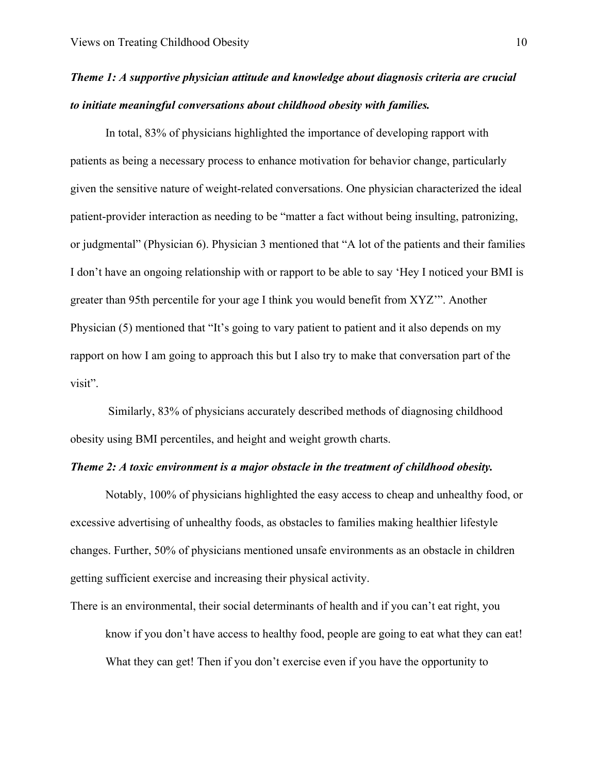## *Theme 1: A supportive physician attitude and knowledge about diagnosis criteria are crucial to initiate meaningful conversations about childhood obesity with families.*

In total, 83% of physicians highlighted the importance of developing rapport with patients as being a necessary process to enhance motivation for behavior change, particularly given the sensitive nature of weight-related conversations. One physician characterized the ideal patient-provider interaction as needing to be "matter a fact without being insulting, patronizing, or judgmental" (Physician 6). Physician 3 mentioned that "A lot of the patients and their families I don't have an ongoing relationship with or rapport to be able to say 'Hey I noticed your BMI is greater than 95th percentile for your age I think you would benefit from XYZ'". Another Physician (5) mentioned that "It's going to vary patient to patient and it also depends on my rapport on how I am going to approach this but I also try to make that conversation part of the visit".

 Similarly, 83% of physicians accurately described methods of diagnosing childhood obesity using BMI percentiles, and height and weight growth charts.

## *Theme 2: A toxic environment is a major obstacle in the treatment of childhood obesity.*

Notably, 100% of physicians highlighted the easy access to cheap and unhealthy food, or excessive advertising of unhealthy foods, as obstacles to families making healthier lifestyle changes. Further, 50% of physicians mentioned unsafe environments as an obstacle in children getting sufficient exercise and increasing their physical activity.

There is an environmental, their social determinants of health and if you can't eat right, you know if you don't have access to healthy food, people are going to eat what they can eat! What they can get! Then if you don't exercise even if you have the opportunity to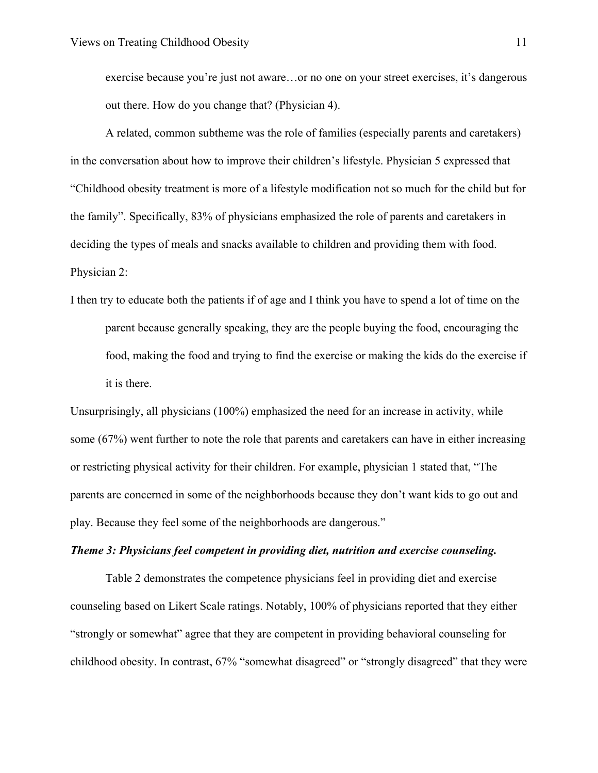exercise because you're just not aware…or no one on your street exercises, it's dangerous out there. How do you change that? (Physician 4).

A related, common subtheme was the role of families (especially parents and caretakers) in the conversation about how to improve their children's lifestyle. Physician 5 expressed that "Childhood obesity treatment is more of a lifestyle modification not so much for the child but for the family". Specifically, 83% of physicians emphasized the role of parents and caretakers in deciding the types of meals and snacks available to children and providing them with food. Physician 2:

I then try to educate both the patients if of age and I think you have to spend a lot of time on the parent because generally speaking, they are the people buying the food, encouraging the food, making the food and trying to find the exercise or making the kids do the exercise if it is there.

Unsurprisingly, all physicians (100%) emphasized the need for an increase in activity, while some (67%) went further to note the role that parents and caretakers can have in either increasing or restricting physical activity for their children. For example, physician 1 stated that, "The parents are concerned in some of the neighborhoods because they don't want kids to go out and play. Because they feel some of the neighborhoods are dangerous."

#### *Theme 3: Physicians feel competent in providing diet, nutrition and exercise counseling.*

Table 2 demonstrates the competence physicians feel in providing diet and exercise counseling based on Likert Scale ratings. Notably, 100% of physicians reported that they either "strongly or somewhat" agree that they are competent in providing behavioral counseling for childhood obesity. In contrast, 67% "somewhat disagreed" or "strongly disagreed" that they were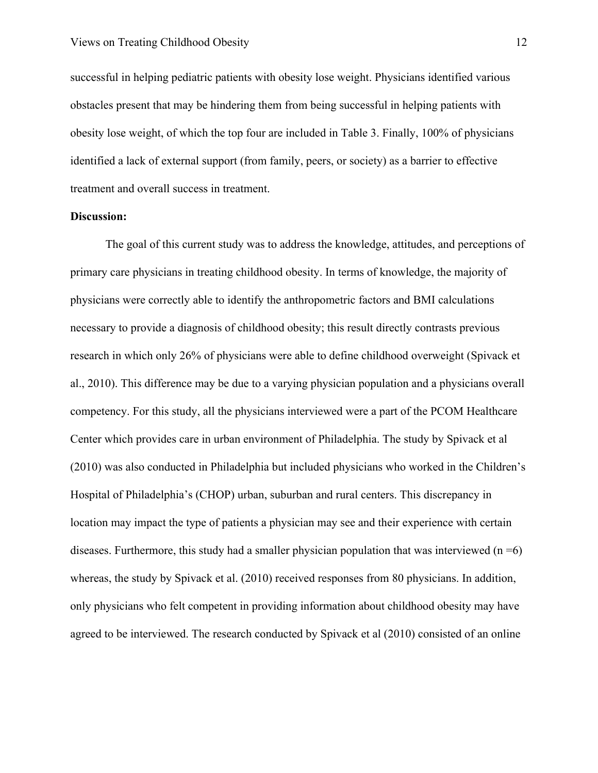successful in helping pediatric patients with obesity lose weight. Physicians identified various obstacles present that may be hindering them from being successful in helping patients with obesity lose weight, of which the top four are included in Table 3. Finally, 100% of physicians identified a lack of external support (from family, peers, or society) as a barrier to effective treatment and overall success in treatment.

#### **Discussion:**

The goal of this current study was to address the knowledge, attitudes, and perceptions of primary care physicians in treating childhood obesity. In terms of knowledge, the majority of physicians were correctly able to identify the anthropometric factors and BMI calculations necessary to provide a diagnosis of childhood obesity; this result directly contrasts previous research in which only 26% of physicians were able to define childhood overweight [\(Spivack et](http://f1000.com/work/citation?ids=2603415&pre=&suf=&sa=0) [al., 2010\).](http://f1000.com/work/citation?ids=2603415&pre=&suf=&sa=0) This difference may be due to a varying physician population and a physicians overall competency. For this study, all the physicians interviewed were a part of the PCOM Healthcare Center which provides care in urban environment of Philadelphia. The study by Spivack et al (2010) was also conducted in Philadelphia but included physicians who worked in the Children's Hospital of Philadelphia's (CHOP) urban, suburban and rural centers. This discrepancy in location may impact the type of patients a physician may see and their experience with certain diseases. Furthermore, this study had a smaller physician population that was interviewed  $(n=6)$ whereas, the study by Spivack et al. (2010) received responses from 80 physicians. In addition, only physicians who felt competent in providing information about childhood obesity may have agreed to be interviewed. The research conducted by Spivack et al (2010) consisted of an online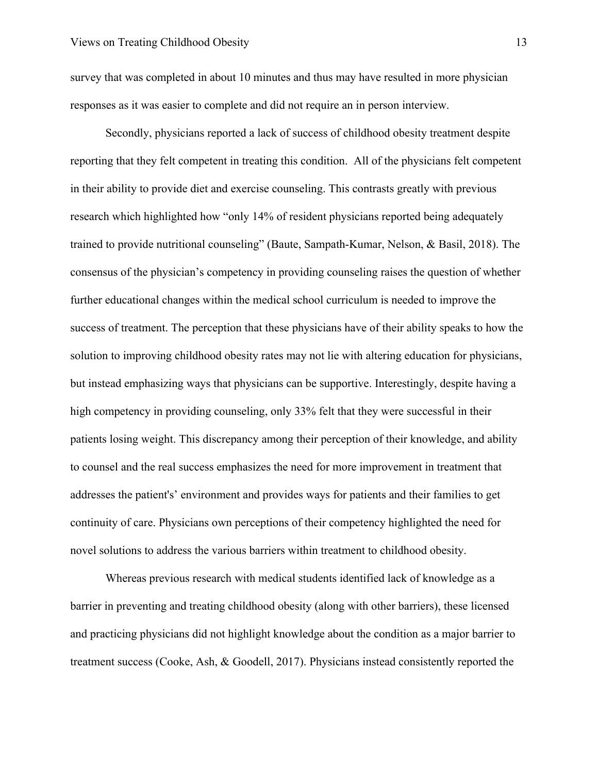survey that was completed in about 10 minutes and thus may have resulted in more physician responses as it was easier to complete and did not require an in person interview.

Secondly, physicians reported a lack of success of childhood obesity treatment despite reporting that they felt competent in treating this condition. All of the physicians felt competent in their ability to provide diet and exercise counseling. This contrasts greatly with previous research which highlighted how "only 14% of resident physicians reported being adequately trained to provide nutritional counseling" [\(Baute, Sampath-Kumar, Nelson, & Basil, 2018\).](http://f1000.com/work/citation?ids=6229154&pre=&suf=&sa=0) The consensus of the physician's competency in providing counseling raises the question of whether further educational changes within the medical school curriculum is needed to improve the success of treatment. The perception that these physicians have of their ability speaks to how the solution to improving childhood obesity rates may not lie with altering education for physicians, but instead emphasizing ways that physicians can be supportive. Interestingly, despite having a high competency in providing counseling, only 33% felt that they were successful in their patients losing weight. This discrepancy among their perception of their knowledge, and ability to counsel and the real success emphasizes the need for more improvement in treatment that addresses the patient's' environment and provides ways for patients and their families to get continuity of care. Physicians own perceptions of their competency highlighted the need for novel solutions to address the various barriers within treatment to childhood obesity.

Whereas previous research with medical students identified lack of knowledge as a barrier in preventing and treating childhood obesity (along with other barriers), these licensed and practicing physicians did not highlight knowledge about the condition as a major barrier to treatment success [\(Cooke, Ash, & Goodell, 2017\).](http://f1000.com/work/citation?ids=6236456&pre=&suf=&sa=0) Physicians instead consistently reported the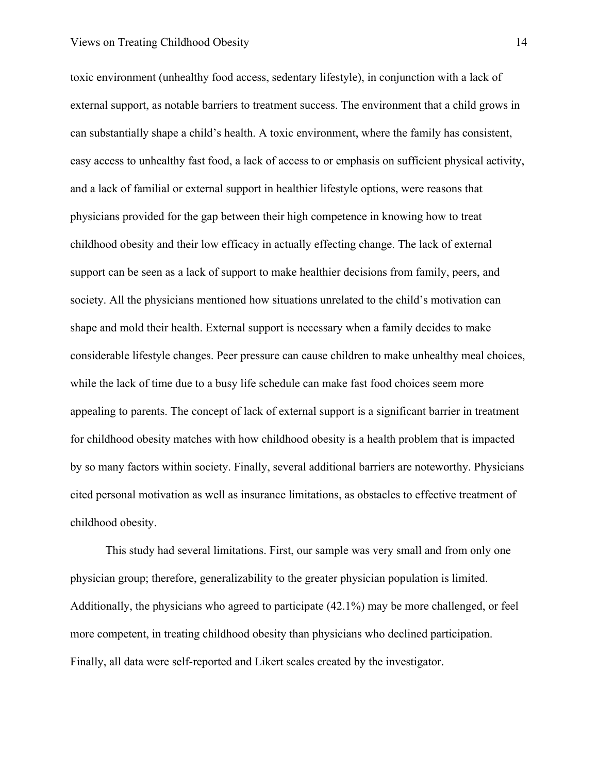#### Views on Treating Childhood Obesity 14

toxic environment (unhealthy food access, sedentary lifestyle), in conjunction with a lack of external support, as notable barriers to treatment success. The environment that a child grows in can substantially shape a child's health. A toxic environment, where the family has consistent, easy access to unhealthy fast food, a lack of access to or emphasis on sufficient physical activity, and a lack of familial or external support in healthier lifestyle options, were reasons that physicians provided for the gap between their high competence in knowing how to treat childhood obesity and their low efficacy in actually effecting change. The lack of external support can be seen as a lack of support to make healthier decisions from family, peers, and society. All the physicians mentioned how situations unrelated to the child's motivation can shape and mold their health. External support is necessary when a family decides to make considerable lifestyle changes. Peer pressure can cause children to make unhealthy meal choices, while the lack of time due to a busy life schedule can make fast food choices seem more appealing to parents. The concept of lack of external support is a significant barrier in treatment for childhood obesity matches with how childhood obesity is a health problem that is impacted by so many factors within society. Finally, several additional barriers are noteworthy. Physicians cited personal motivation as well as insurance limitations, as obstacles to effective treatment of childhood obesity.

This study had several limitations. First, our sample was very small and from only one physician group; therefore, generalizability to the greater physician population is limited. Additionally, the physicians who agreed to participate (42.1%) may be more challenged, or feel more competent, in treating childhood obesity than physicians who declined participation. Finally, all data were self-reported and Likert scales created by the investigator.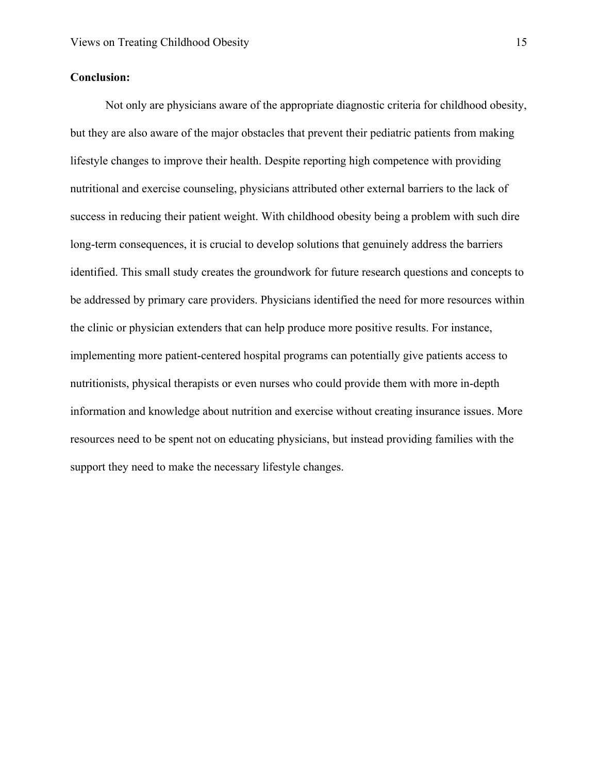## **Conclusion:**

Not only are physicians aware of the appropriate diagnostic criteria for childhood obesity, but they are also aware of the major obstacles that prevent their pediatric patients from making lifestyle changes to improve their health. Despite reporting high competence with providing nutritional and exercise counseling, physicians attributed other external barriers to the lack of success in reducing their patient weight. With childhood obesity being a problem with such dire long-term consequences, it is crucial to develop solutions that genuinely address the barriers identified. This small study creates the groundwork for future research questions and concepts to be addressed by primary care providers. Physicians identified the need for more resources within the clinic or physician extenders that can help produce more positive results. For instance, implementing more patient-centered hospital programs can potentially give patients access to nutritionists, physical therapists or even nurses who could provide them with more in-depth information and knowledge about nutrition and exercise without creating insurance issues. More resources need to be spent not on educating physicians, but instead providing families with the support they need to make the necessary lifestyle changes.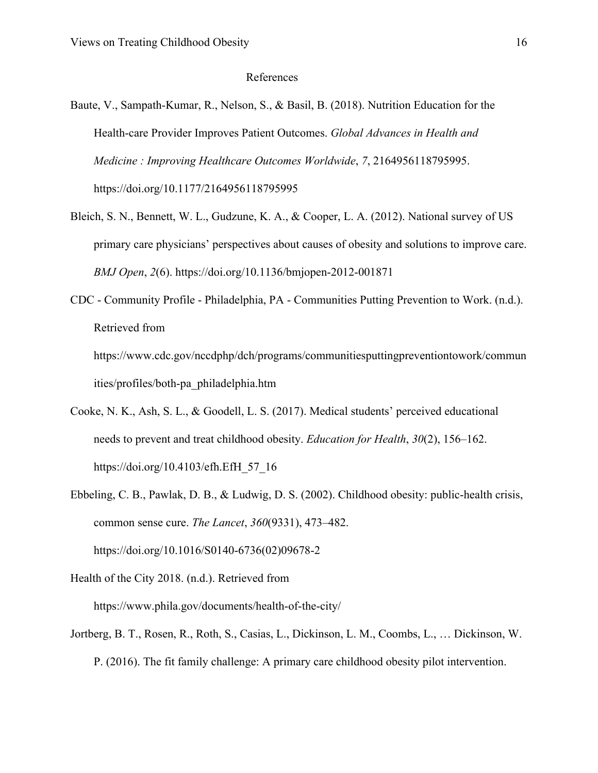## References

- [Baute, V., Sampath-Kumar, R., Nelson, S., & Basil, B. \(2018\). Nutrition Education for the](http://f1000.com/work/bibliography/6229154) [Health-care Provider Improves Patient Outcomes.](http://f1000.com/work/bibliography/6229154) *[Global Advances in Health and](http://f1000.com/work/bibliography/6229154) Medicine [: Improving Healthcare Outcomes Worldwide](http://f1000.com/work/bibliography/6229154)*[,](http://f1000.com/work/bibliography/6229154) *[7](http://f1000.com/work/bibliography/6229154)*[, 2164956118795995.](http://f1000.com/work/bibliography/6229154) [https://doi.org/10.1177/2164956118795995](http://f1000.com/work/bibliography/6229154)
- [Bleich, S. N., Bennett, W. L., Gudzune, K. A., & Cooper, L. A. \(2012\). National survey of US](http://f1000.com/work/bibliography/6348810) [primary care physicians' perspectives about causes of obesity and solutions to improve care.](http://f1000.com/work/bibliography/6348810) *[BMJ Open](http://f1000.com/work/bibliography/6348810)*[,](http://f1000.com/work/bibliography/6348810) *[2](http://f1000.com/work/bibliography/6348810)*[\(6\). https://doi.org/10.1136/bmjopen-2012-001871](http://f1000.com/work/bibliography/6348810)
- [CDC Community Profile Philadelphia, PA Communities Putting Prevention to Work. \(n.d.\).](http://f1000.com/work/bibliography/6228925) [Retrieved from](http://f1000.com/work/bibliography/6228925)

[https://www.cdc.gov/nccdphp/dch/programs/communitiesputtingpreventiontowork/commun](http://f1000.com/work/bibliography/6228925) [ities/profiles/both-pa\\_philadelphia.htm](http://f1000.com/work/bibliography/6228925)

- [Cooke, N. K., Ash, S. L., & Goodell, L. S. \(2017\). Medical students' perceived educational](http://f1000.com/work/bibliography/6236456) [needs to prevent and treat childhood obesity.](http://f1000.com/work/bibliography/6236456) *[Education for Health](http://f1000.com/work/bibliography/6236456)*[,](http://f1000.com/work/bibliography/6236456) *[30](http://f1000.com/work/bibliography/6236456)*[\(2\), 156–162.](http://f1000.com/work/bibliography/6236456) [https://doi.org/10.4103/efh.EfH\\_57\\_16](http://f1000.com/work/bibliography/6236456)
- [Ebbeling, C. B., Pawlak, D. B., & Ludwig, D. S. \(2002\). Childhood obesity: public-health crisis,](http://f1000.com/work/bibliography/1396202) [common sense cure.](http://f1000.com/work/bibliography/1396202) *[The Lancet](http://f1000.com/work/bibliography/1396202)*[,](http://f1000.com/work/bibliography/1396202) *[360](http://f1000.com/work/bibliography/1396202)*[\(9331\), 473–482.](http://f1000.com/work/bibliography/1396202) [https://doi.org/10.1016/S0140-6736\(02\)09678-2](http://f1000.com/work/bibliography/1396202)

[Health of the City 2018. \(n.d.\). Retrieved from](http://f1000.com/work/bibliography/6212240)

[https://www.phila.gov/documents/health-of-the-city/](http://f1000.com/work/bibliography/6212240)

[Jortberg, B. T., Rosen, R., Roth, S., Casias, L., Dickinson, L. M., Coombs, L., … Dickinson, W.](http://f1000.com/work/bibliography/6229148) [P. \(2016\). The fit family challenge: A primary care childhood obesity pilot intervention.](http://f1000.com/work/bibliography/6229148)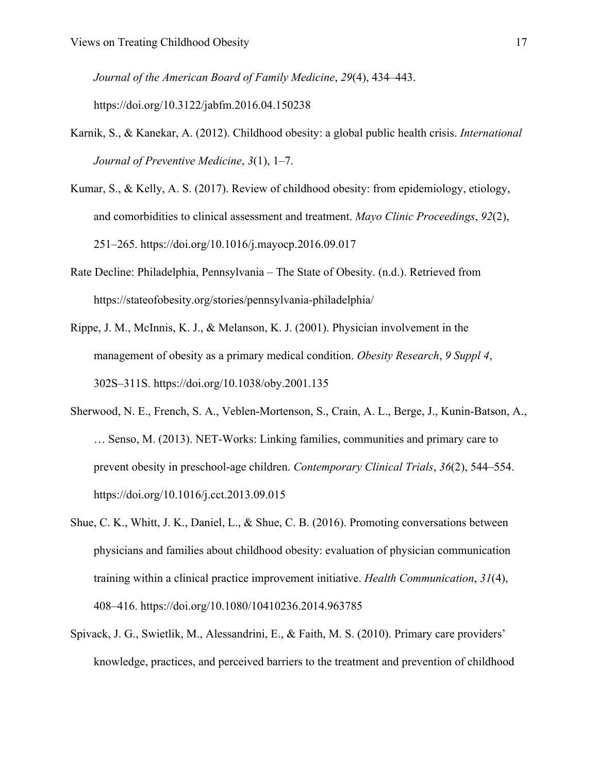*[Journal of the American Board of Family Medicine](http://f1000.com/work/bibliography/6229148)*[,](http://f1000.com/work/bibliography/6229148) *[29](http://f1000.com/work/bibliography/6229148)*[\(4\), 434–443.](http://f1000.com/work/bibliography/6229148)

[https://doi.org/10.3122/jabfm.2016.04.150238](http://f1000.com/work/bibliography/6229148)

- [Karnik, S., & Kanekar, A. \(2012\). Childhood obesity: a global public health crisis.](http://f1000.com/work/bibliography/5724919) *[International](http://f1000.com/work/bibliography/5724919) [Journal of Preventive Medicine](http://f1000.com/work/bibliography/5724919)*[,](http://f1000.com/work/bibliography/5724919) *[3](http://f1000.com/work/bibliography/5724919)*[\(1\), 1–7.](http://f1000.com/work/bibliography/5724919)
- [Kumar, S., & Kelly, A. S. \(2017\). Review of childhood obesity: from epidemiology, etiology,](http://f1000.com/work/bibliography/3192730) [and comorbidities to clinical assessment and treatment.](http://f1000.com/work/bibliography/3192730) *[Mayo Clinic Proceedings](http://f1000.com/work/bibliography/3192730)*[,](http://f1000.com/work/bibliography/3192730) *[92](http://f1000.com/work/bibliography/3192730)*[\(2\),](http://f1000.com/work/bibliography/3192730) [251–265. https://doi.org/10.1016/j.mayocp.2016.09.017](http://f1000.com/work/bibliography/3192730)
- [Rate Decline: Philadelphia, Pennsylvania The State of Obesity. \(n.d.\). Retrieved from](http://f1000.com/work/bibliography/6229065) [https://stateofobesity.org/stories/pennsylvania-philadelphia/](http://f1000.com/work/bibliography/6229065)
- [Rippe, J. M., McInnis, K. J., & Melanson, K. J. \(2001\). Physician involvement in the](http://f1000.com/work/bibliography/6228896) [management of obesity as a primary medical condition.](http://f1000.com/work/bibliography/6228896) *[Obesity Research](http://f1000.com/work/bibliography/6228896)*[,](http://f1000.com/work/bibliography/6228896) *[9 Suppl 4](http://f1000.com/work/bibliography/6228896)*[,](http://f1000.com/work/bibliography/6228896) [302S–311S. https://doi.org/10.1038/oby.2001.135](http://f1000.com/work/bibliography/6228896)
- [Sherwood, N. E., French, S. A., Veblen-Mortenson, S., Crain, A. L., Berge, J., Kunin-Batson, A.,](http://f1000.com/work/bibliography/6228898) [… Senso, M. \(2013\). NET-Works: Linking families, communities and primary care to](http://f1000.com/work/bibliography/6228898) [prevent obesity in preschool-age children.](http://f1000.com/work/bibliography/6228898) *[Contemporary Clinical Trials](http://f1000.com/work/bibliography/6228898)*[,](http://f1000.com/work/bibliography/6228898) *[36](http://f1000.com/work/bibliography/6228898)*[\(2\), 544–554.](http://f1000.com/work/bibliography/6228898) [https://doi.org/10.1016/j.cct.2013.09.015](http://f1000.com/work/bibliography/6228898)
- [Shue, C. K., Whitt, J. K., Daniel, L., & Shue, C. B. \(2016\). Promoting conversations between](http://f1000.com/work/bibliography/6236471) [physicians and families about childhood obesity: evaluation of physician communication](http://f1000.com/work/bibliography/6236471) [training within a clinical practice improvement initiative.](http://f1000.com/work/bibliography/6236471) *[Health Communication](http://f1000.com/work/bibliography/6236471)*[,](http://f1000.com/work/bibliography/6236471) *[31](http://f1000.com/work/bibliography/6236471)*[\(4\),](http://f1000.com/work/bibliography/6236471) [408–416. https://doi.org/10.1080/10410236.2014.963785](http://f1000.com/work/bibliography/6236471)
- [Spivack, J. G., Swietlik, M., Alessandrini, E., & Faith, M. S. \(2010\). Primary care providers'](http://f1000.com/work/bibliography/2603415) [knowledge, practices, and perceived barriers to the treatment and prevention of childhood](http://f1000.com/work/bibliography/2603415)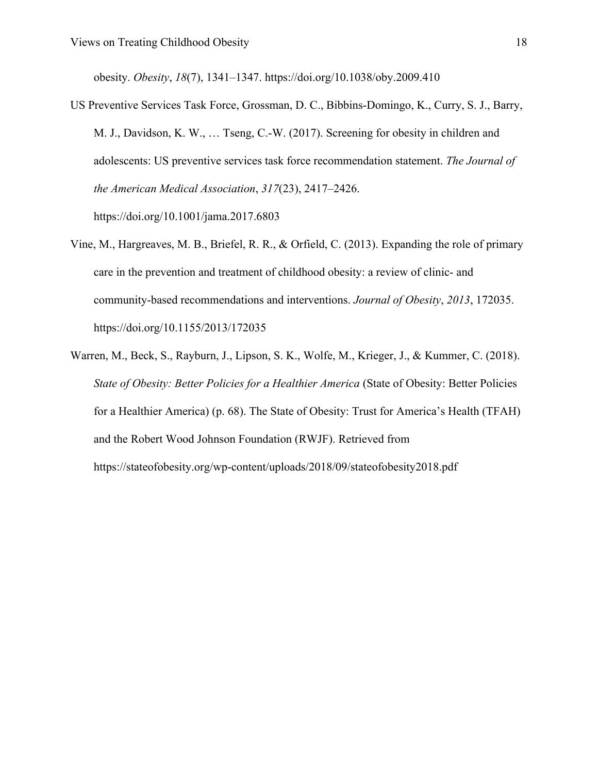[obesity.](http://f1000.com/work/bibliography/2603415) *[Obesity](http://f1000.com/work/bibliography/2603415)*[,](http://f1000.com/work/bibliography/2603415) *[18](http://f1000.com/work/bibliography/2603415)*[\(7\), 1341–1347. https://doi.org/10.1038/oby.2009.410](http://f1000.com/work/bibliography/2603415)

- [US Preventive Services Task Force, Grossman, D. C., Bibbins-Domingo, K., Curry, S. J., Barry,](http://f1000.com/work/bibliography/4072558) [M. J., Davidson, K. W., … Tseng, C.-W. \(2017\). Screening for obesity in children and](http://f1000.com/work/bibliography/4072558) [adolescents: US preventive services task force recommendation statement.](http://f1000.com/work/bibliography/4072558) *[The Journal of](http://f1000.com/work/bibliography/4072558) [the American Medical Association](http://f1000.com/work/bibliography/4072558)*[,](http://f1000.com/work/bibliography/4072558) *[317](http://f1000.com/work/bibliography/4072558)*[\(23\), 2417–2426.](http://f1000.com/work/bibliography/4072558) [https://doi.org/10.1001/jama.2017.6803](http://f1000.com/work/bibliography/4072558)
- [Vine, M., Hargreaves, M. B., Briefel, R. R., & Orfield, C. \(2013\). Expanding the role of primary](http://f1000.com/work/bibliography/6236465) [care in the prevention and treatment of childhood obesity: a review of clinic- and](http://f1000.com/work/bibliography/6236465) [community-based recommendations and interventions.](http://f1000.com/work/bibliography/6236465) *[Journal of Obesity](http://f1000.com/work/bibliography/6236465)*[,](http://f1000.com/work/bibliography/6236465) *[2013](http://f1000.com/work/bibliography/6236465)*[, 172035.](http://f1000.com/work/bibliography/6236465) [https://doi.org/10.1155/2013/172035](http://f1000.com/work/bibliography/6236465)
- [Warren, M., Beck, S., Rayburn, J., Lipson, S. K., Wolfe, M., Krieger, J., & Kummer, C. \(2018\).](http://f1000.com/work/bibliography/6202405) *[State of Obesity: Better Policies for a Healthier America](http://f1000.com/work/bibliography/6202405)* [\(State of Obesity: Better Policies](http://f1000.com/work/bibliography/6202405) [for a Healthier America\) \(p. 68\). The State of Obesity: Trust for America's Health \(TFAH\)](http://f1000.com/work/bibliography/6202405) [and the Robert Wood Johnson Foundation \(RWJF\). Retrieved from](http://f1000.com/work/bibliography/6202405) <https://stateofobesity.org/wp-content/uploads/2018/09/stateofobesity2018.pdf>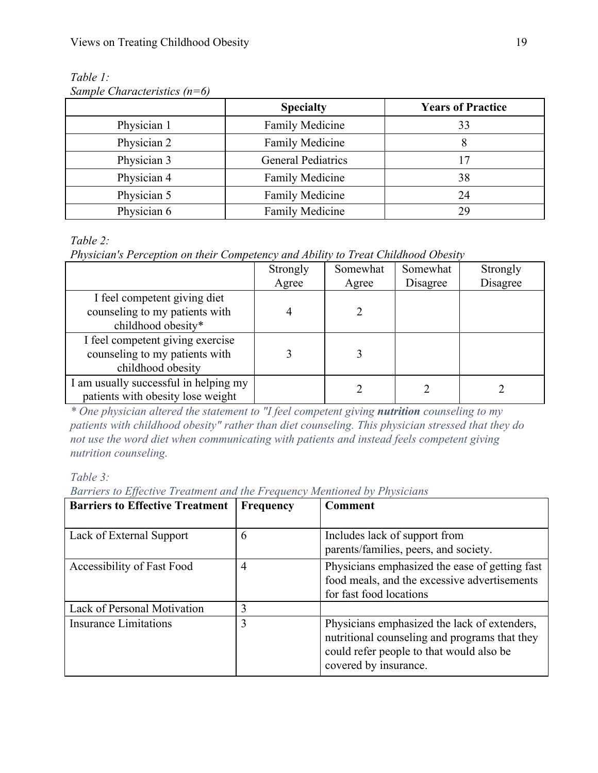*Table 1: Sample Characteristics (n=6)*

|             | <b>Specialty</b>          | <b>Years of Practice</b> |  |
|-------------|---------------------------|--------------------------|--|
| Physician 1 | <b>Family Medicine</b>    | 33                       |  |
| Physician 2 | Family Medicine           |                          |  |
| Physician 3 | <b>General Pediatrics</b> | 17                       |  |
| Physician 4 | <b>Family Medicine</b>    | 38                       |  |
| Physician 5 | <b>Family Medicine</b>    | 24                       |  |
| Physician 6 | <b>Family Medicine</b>    | 29                       |  |

*Table 2:*

*Physician's Perception on their Competency and Ability to Treat Childhood Obesity*

|                                       | Strongly | Somewhat | Somewhat | Strongly |
|---------------------------------------|----------|----------|----------|----------|
|                                       | Agree    | Agree    | Disagree | Disagree |
| I feel competent giving diet          |          |          |          |          |
| counseling to my patients with        |          |          |          |          |
| childhood obesity*                    |          |          |          |          |
| I feel competent giving exercise      |          |          |          |          |
| counseling to my patients with        |          |          |          |          |
| childhood obesity                     |          |          |          |          |
| I am usually successful in helping my |          |          |          |          |
| patients with obesity lose weight     |          |          |          |          |

*\* One physician altered the statement to "I feel competent giving nutrition counseling to my patients with childhood obesity" rather than diet counseling. This physician stressed that they do not use the word diet when communicating with patients and instead feels competent giving nutrition counseling.*

*Table 3:*

*Barriers to Effective Treatment and the Frequency Mentioned by Physicians*

| <b>Barriers to Effective Treatment</b> | Frequency      | Comment                                                                                                                                                            |
|----------------------------------------|----------------|--------------------------------------------------------------------------------------------------------------------------------------------------------------------|
| Lack of External Support               | 6              | Includes lack of support from<br>parents/families, peers, and society.                                                                                             |
| Accessibility of Fast Food             | $\overline{4}$ | Physicians emphasized the ease of getting fast<br>food meals, and the excessive advertisements<br>for fast food locations                                          |
| Lack of Personal Motivation            | 3              |                                                                                                                                                                    |
| <b>Insurance Limitations</b>           | 3              | Physicians emphasized the lack of extenders,<br>nutritional counseling and programs that they<br>could refer people to that would also be<br>covered by insurance. |